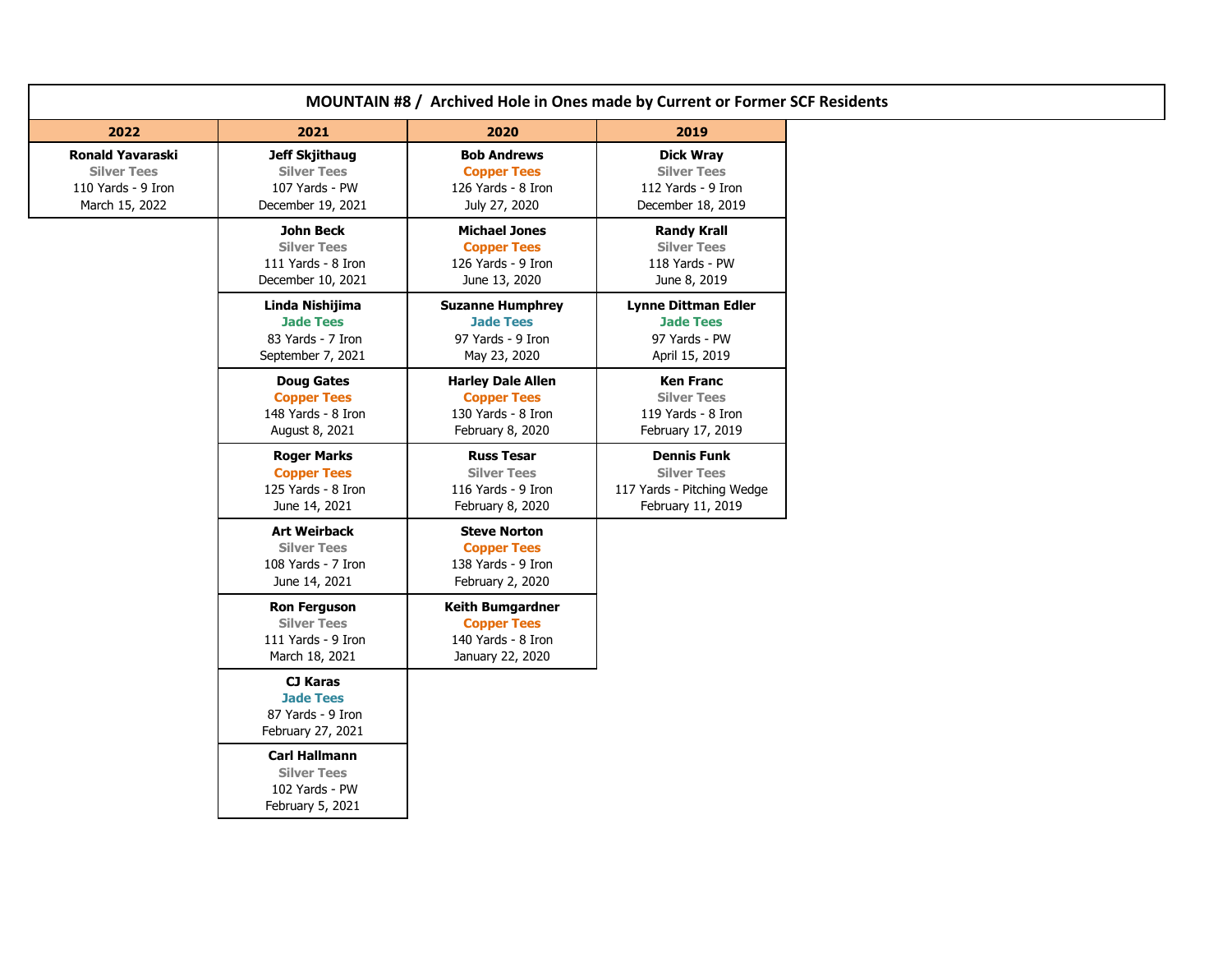| MOUNTAIN #8 / Archived Hole in Ones made by Current or Former SCF Residents           |                                                                                    |                                                                                          |                                                                                             |  |
|---------------------------------------------------------------------------------------|------------------------------------------------------------------------------------|------------------------------------------------------------------------------------------|---------------------------------------------------------------------------------------------|--|
| 2022                                                                                  | 2021                                                                               | 2020                                                                                     | 2019                                                                                        |  |
| <b>Ronald Yavaraski</b><br><b>Silver Tees</b><br>110 Yards - 9 Iron<br>March 15, 2022 | <b>Jeff Skjithaug</b><br><b>Silver Tees</b><br>107 Yards - PW<br>December 19, 2021 | <b>Bob Andrews</b><br><b>Copper Tees</b><br>126 Yards - 8 Iron<br>July 27, 2020          | <b>Dick Wray</b><br><b>Silver Tees</b><br>112 Yards - 9 Iron<br>December 18, 2019           |  |
|                                                                                       | <b>John Beck</b><br><b>Silver Tees</b><br>111 Yards - 8 Iron<br>December 10, 2021  | <b>Michael Jones</b><br><b>Copper Tees</b><br>126 Yards - 9 Iron<br>June 13, 2020        | <b>Randy Krall</b><br><b>Silver Tees</b><br>118 Yards - PW<br>June 8, 2019                  |  |
|                                                                                       | Linda Nishijima<br><b>Jade Tees</b><br>83 Yards - 7 Iron<br>September 7, 2021      | <b>Suzanne Humphrey</b><br><b>Jade Tees</b><br>97 Yards - 9 Iron<br>May 23, 2020         | <b>Lynne Dittman Edler</b><br><b>Jade Tees</b><br>97 Yards - PW<br>April 15, 2019           |  |
|                                                                                       | <b>Doug Gates</b><br><b>Copper Tees</b><br>148 Yards - 8 Iron<br>August 8, 2021    | <b>Harley Dale Allen</b><br><b>Copper Tees</b><br>130 Yards - 8 Iron<br>February 8, 2020 | <b>Ken Franc</b><br><b>Silver Tees</b><br>119 Yards - 8 Iron<br>February 17, 2019           |  |
|                                                                                       | <b>Roger Marks</b><br><b>Copper Tees</b><br>125 Yards - 8 Iron<br>June 14, 2021    | <b>Russ Tesar</b><br><b>Silver Tees</b><br>116 Yards - 9 Iron<br>February 8, 2020        | <b>Dennis Funk</b><br><b>Silver Tees</b><br>117 Yards - Pitching Wedge<br>February 11, 2019 |  |
|                                                                                       | <b>Art Weirback</b><br><b>Silver Tees</b><br>108 Yards - 7 Iron<br>June 14, 2021   | <b>Steve Norton</b><br><b>Copper Tees</b><br>138 Yards - 9 Iron<br>February 2, 2020      |                                                                                             |  |
|                                                                                       | <b>Ron Ferguson</b><br><b>Silver Tees</b><br>111 Yards - 9 Iron<br>March 18, 2021  | <b>Keith Bumgardner</b><br><b>Copper Tees</b><br>140 Yards - 8 Iron<br>January 22, 2020  |                                                                                             |  |
|                                                                                       | <b>CJ Karas</b><br><b>Jade Tees</b><br>87 Yards - 9 Iron<br>February 27, 2021      |                                                                                          |                                                                                             |  |
|                                                                                       | <b>Carl Hallmann</b><br><b>Silver Tees</b><br>102 Yards - PW<br>February 5, 2021   |                                                                                          |                                                                                             |  |